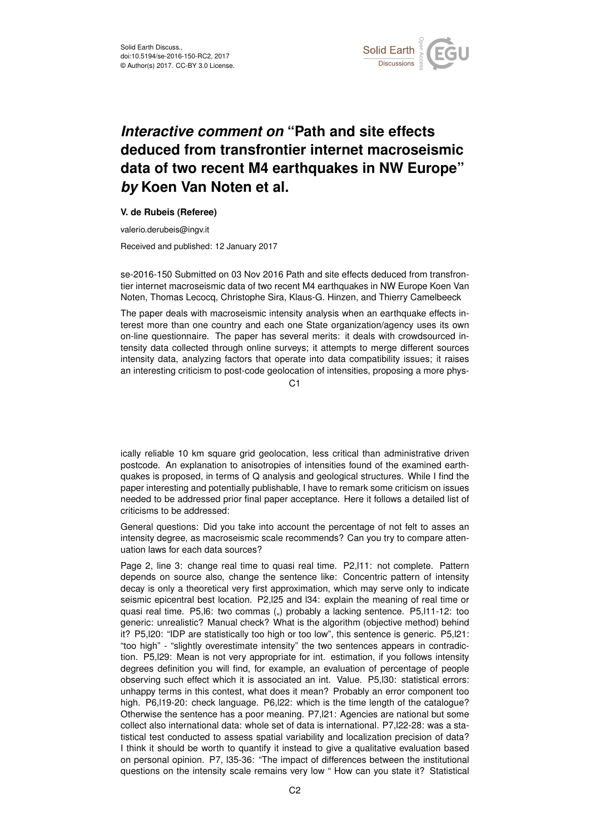

## *Interactive comment on* **"Path and site effects deduced from transfrontier internet macroseismic data of two recent M4 earthquakes in NW Europe"** *by* **Koen Van Noten et al.**

## **V. de Rubeis (Referee)**

valerio.derubeis@ingv.it

Received and published: 12 January 2017

se-2016-150 Submitted on 03 Nov 2016 Path and site effects deduced from transfrontier internet macroseismic data of two recent M4 earthquakes in NW Europe Koen Van Noten, Thomas Lecocq, Christophe Sira, Klaus-G. Hinzen, and Thierry Camelbeeck

The paper deals with macroseismic intensity analysis when an earthquake effects interest more than one country and each one State organization/agency uses its own on-line questionnaire. The paper has several merits: it deals with crowdsourced intensity data collected through online surveys; it attempts to merge different sources intensity data, analyzing factors that operate into data compatibility issues; it raises an interesting criticism to post-code geolocation of intensities, proposing a more phys-

 $C<sub>1</sub>$ 

ically reliable 10 km square grid geolocation, less critical than administrative driven postcode. An explanation to anisotropies of intensities found of the examined earthquakes is proposed, in terms of Q analysis and geological structures. While I find the paper interesting and potentially publishable, I have to remark some criticism on issues needed to be addressed prior final paper acceptance. Here it follows a detailed list of criticisms to be addressed:

General questions: Did you take into account the percentage of not felt to asses an intensity degree, as macroseismic scale recommends? Can you try to compare attenuation laws for each data sources?

Page 2, line 3: change real time to quasi real time. P2, l11: not complete. Pattern depends on source also, change the sentence like: Concentric pattern of intensity decay is only a theoretical very first approximation, which may serve only to indicate seismic epicentral best location. P2,l25 and l34: explain the meaning of real time or quasi real time. P5, 6: two commas (,,) probably a lacking sentence. P5, 11-12: too generic: unrealistic? Manual check? What is the algorithm (objective method) behind it? P5,l20: "IDP are statistically too high or too low", this sentence is generic. P5,l21: "too high" - "slightly overestimate intensity" the two sentences appears in contradiction. P5,l29: Mean is not very appropriate for int. estimation, if you follows intensity degrees definition you will find, for example, an evaluation of percentage of people observing such effect which it is associated an int. Value. P5,l30: statistical errors: unhappy terms in this contest, what does it mean? Probably an error component too high. P6,l19-20: check language. P6,l22: which is the time length of the catalogue? Otherwise the sentence has a poor meaning. P7,l21: Agencies are national but some collect also international data: whole set of data is international. P7,l22-28: was a statistical test conducted to assess spatial variability and localization precision of data? I think it should be worth to quantify it instead to give a qualitative evaluation based on personal opinion. P7, l35-36: "The impact of differences between the institutional questions on the intensity scale remains very low " How can you state it? Statistical